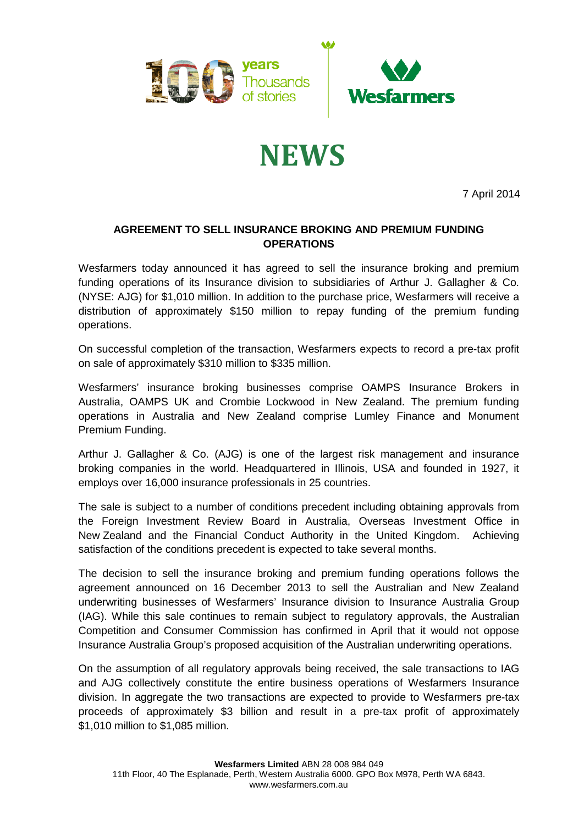

## **NEWS**

7 April 2014

## **AGREEMENT TO SELL INSURANCE BROKING AND PREMIUM FUNDING OPERATIONS**

Wesfarmers today announced it has agreed to sell the insurance broking and premium funding operations of its Insurance division to subsidiaries of Arthur J. Gallagher & Co. (NYSE: AJG) for \$1,010 million. In addition to the purchase price, Wesfarmers will receive a distribution of approximately \$150 million to repay funding of the premium funding operations.

On successful completion of the transaction, Wesfarmers expects to record a pre-tax profit on sale of approximately \$310 million to \$335 million.

Wesfarmers' insurance broking businesses comprise OAMPS Insurance Brokers in Australia, OAMPS UK and Crombie Lockwood in New Zealand. The premium funding operations in Australia and New Zealand comprise Lumley Finance and Monument Premium Funding.

Arthur J. Gallagher & Co. (AJG) is one of the largest risk management and insurance broking companies in the world. Headquartered in Illinois, USA and founded in 1927, it employs over 16,000 insurance professionals in 25 countries.

The sale is subject to a number of conditions precedent including obtaining approvals from the Foreign Investment Review Board in Australia, Overseas Investment Office in New Zealand and the Financial Conduct Authority in the United Kingdom. Achieving satisfaction of the conditions precedent is expected to take several months.

The decision to sell the insurance broking and premium funding operations follows the agreement announced on 16 December 2013 to sell the Australian and New Zealand underwriting businesses of Wesfarmers' Insurance division to Insurance Australia Group (IAG). While this sale continues to remain subject to regulatory approvals, the Australian Competition and Consumer Commission has confirmed in April that it would not oppose Insurance Australia Group's proposed acquisition of the Australian underwriting operations.

On the assumption of all regulatory approvals being received, the sale transactions to IAG and AJG collectively constitute the entire business operations of Wesfarmers Insurance division. In aggregate the two transactions are expected to provide to Wesfarmers pre-tax proceeds of approximately \$3 billion and result in a pre-tax profit of approximately \$1,010 million to \$1,085 million.